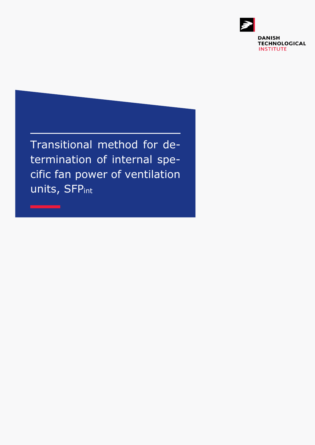

Transitional method for determination of internal specific fan power of ventilation units, SFPint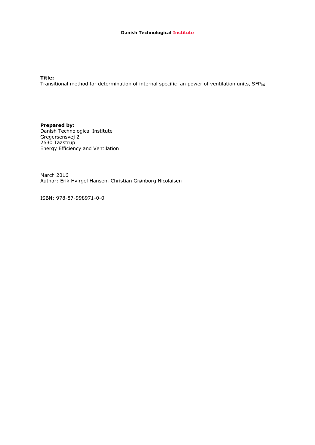**Title:**

Transitional method for determination of internal specific fan power of ventilation units, SFPint

**Prepared by:** Danish Technological Institute Gregersensvej 2 2630 Taastrup Energy Efficiency and Ventilation

March 2016 Author: Erik Hvirgel Hansen, Christian Grønborg Nicolaisen

ISBN: 978-87-998971-0-0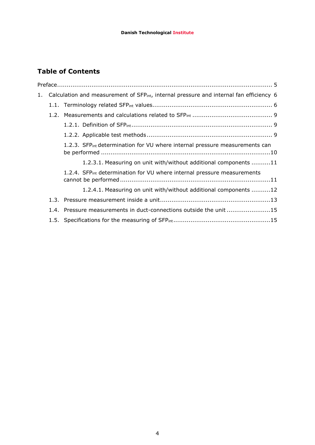# **Table of Contents**

| Calculation and measurement of SFPint, internal pressure and internal fan efficiency 6<br>1. |  |                                                                                         |
|----------------------------------------------------------------------------------------------|--|-----------------------------------------------------------------------------------------|
|                                                                                              |  |                                                                                         |
|                                                                                              |  |                                                                                         |
|                                                                                              |  |                                                                                         |
|                                                                                              |  |                                                                                         |
|                                                                                              |  | 1.2.3. SFP <sub>int</sub> determination for VU where internal pressure measurements can |
|                                                                                              |  | 1.2.3.1. Measuring on unit with/without additional components 11                        |
|                                                                                              |  | 1.2.4. SFP <sub>int</sub> determination for VU where internal pressure measurements     |
|                                                                                              |  | 1.2.4.1. Measuring on unit with/without additional components 12                        |
|                                                                                              |  |                                                                                         |
|                                                                                              |  | 1.4. Pressure measurements in duct-connections outside the unit 15                      |
|                                                                                              |  |                                                                                         |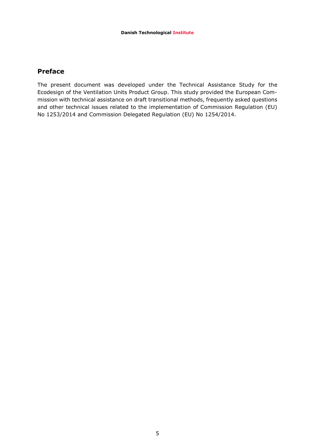### <span id="page-4-0"></span>**Preface**

The present document was developed under the Technical Assistance Study for the Ecodesign of the Ventilation Units Product Group. This study provided the European Commission with technical assistance on draft transitional methods, frequently asked questions and other technical issues related to the implementation of Commission Regulation (EU) No 1253/2014 and Commission Delegated Regulation (EU) No 1254/2014.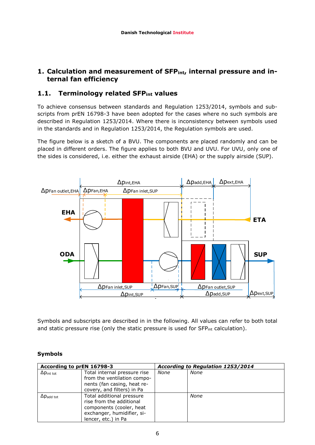## <span id="page-5-0"></span>**1. Calculation and measurement of SFPint, internal pressure and internal fan efficiency**

## <span id="page-5-1"></span>**1.1. Terminology related SFPint values**

To achieve consensus between standards and Regulation 1253/2014, symbols and subscripts from prEN 16798-3 have been adopted for the cases where no such symbols are described in Regulation 1253/2014. Where there is inconsistency between symbols used in the standards and in Regulation 1253/2014, the Regulation symbols are used.

The figure below is a sketch of a BVU. The components are placed randomly and can be placed in different orders. The figure applies to both BVU and UVU. For UVU, only one of the sides is considered, i.e. either the exhaust airside (EHA) or the supply airside (SUP).



Symbols and subscripts are described in in the following. All values can refer to both total and static pressure rise (only the static pressure is used for SFP<sub>int</sub> calculation).

### **Symbols**

| According to prEN 16798-3 |                                                                                                                                        | According to Regulation 1253/2014 |      |
|---------------------------|----------------------------------------------------------------------------------------------------------------------------------------|-----------------------------------|------|
| $\Delta p$ int tot        | Total internal pressure rise<br>from the ventilation compo-<br>nents (fan casing, heat re-<br>covery, and filters) in Pa               | None                              | None |
| $\Delta p$ add tot        | Total additional pressure<br>rise from the additional<br>components (cooler, heat<br>exchanger, humidifier, si-<br>lencer, etc.) in Pa |                                   | None |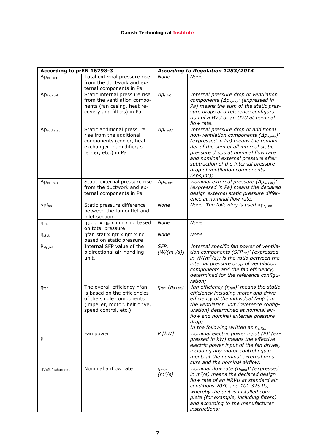| According to prEN 16798-3    |                                                                                                                                                     | According to Regulation 1253/2014 |                                                                                                                                                                                                                                                                                                                                                          |  |
|------------------------------|-----------------------------------------------------------------------------------------------------------------------------------------------------|-----------------------------------|----------------------------------------------------------------------------------------------------------------------------------------------------------------------------------------------------------------------------------------------------------------------------------------------------------------------------------------------------------|--|
| $\Delta p_{\text{ext tot}}$  | Total external pressure rise<br>from the ductwork and ex-                                                                                           | None                              | None                                                                                                                                                                                                                                                                                                                                                     |  |
| $\Delta p_{\text{int stat}}$ | ternal components in Pa<br>Static internal pressure rise<br>from the ventilation compo-<br>nents (fan casing, heat re-<br>covery and filters) in Pa | $\Delta p_{s,int}$                | 'internal pressure drop of ventilation<br>components $(\Delta p_{s,int})'$ (expressed in<br>Pa) means the sum of the static pres-<br>sure drops of a reference configura-<br>tion of a BVU or an UVU at nominal<br>flow rate.                                                                                                                            |  |
| $\Delta p$ add stat          | Static additional pressure<br>rise from the additional<br>components (cooler, heat<br>exchanger, humidifier, si-<br>lencer, etc.) in Pa             | $\Delta p_{s,add}$                | 'internal pressure drop of additional<br>non-ventilation components $(\Delta p_{s,add})'$<br>(expressed in Pa) means the remain-<br>der of the sum of all internal static<br>pressure drops at nominal flow rate<br>and nominal external pressure after<br>subtraction of the internal pressure<br>drop of ventilation components<br>$(\Delta ps, int);$ |  |
| $\Delta p_{\text{ext stat}}$ | Static external pressure rise<br>from the ductwork and ex-<br>ternal components in Pa                                                               | $\Delta p_{s, \text{ ext}}$       | 'nominal external pressure $(\Delta p_{s,ext})'$<br>(expressed in Pa) means the declared<br>design external static pressure differ-<br>ence at nominal flow rate.                                                                                                                                                                                        |  |
| $\Delta pf_{an}$             | Static pressure difference<br>between the fan outlet and<br>inlet section.                                                                          | None                              | None. The following is used $\Delta p_{s,Fan}$                                                                                                                                                                                                                                                                                                           |  |
| $\eta_{\text{tot}}$          | η <sub>fan tot</sub> x η <sub>tr</sub> x ηm x ηc based<br>on total pressure                                                                         | None                              | None                                                                                                                                                                                                                                                                                                                                                     |  |
| $\eta_{stat}$                | ηfan stat x ηtr x ηm x ηc<br>based on static pressure                                                                                               | None                              | None                                                                                                                                                                                                                                                                                                                                                     |  |
| P <sub>sfp,int</sub>         | Internal SFP value of the<br>bidirectional air-handling<br>unit.                                                                                    | $SFP_{int}$<br>$[W/(m^3/s)]$      | 'internal specific fan power of ventila-<br>tion components (SFPint)' (expressed<br>in $W/(m^3/s)$ ) is the ratio between the<br>internal pressure drop of ventilation<br>components and the fan efficiency,<br>determined for the reference configu-<br>ration;                                                                                         |  |
| η <sub>fan</sub>             | The overall efficiency nfan<br>is based on the efficiencies<br>of the single components<br>(impeller, motor, belt drive,<br>speed control, etc.)    | $\eta$ fan $(\eta_{s, Fan})$      | 'fan efficiency $(\eta_{fan})'$ means the static<br>efficiency including motor and drive<br>efficiency of the individual fan(s) in<br>the ventilation unit (reference config-<br>uration) determined at nominal air-<br>flow and nominal external pressure<br>drop;<br>In the following written as $\eta_{s,Fan}$                                        |  |
| P                            | Fan power                                                                                                                                           | $P$ [ $kW$ ]                      | 'nominal electric power input (P)' (ex-<br>pressed in kW) means the effective<br>electric power input of the fan drives,<br>including any motor control equip-<br>ment, at the nominal external pres-<br>sure and the nominal airflow;                                                                                                                   |  |
| qv; SUP; ahu; nom.           | Nominal airflow rate                                                                                                                                | $q_{nom}$<br>$[m^3/s]$            | 'nominal flow rate $(q_{nom})'$ (expressed<br>in $m^3$ /s) means the declared design<br>flow rate of an NRVU at standard air<br>conditions 20°C and 101 325 Pa,<br>whereby the unit is installed com-<br>plete (for example, including filters)<br>and according to the manufacturer<br>instructions;                                                    |  |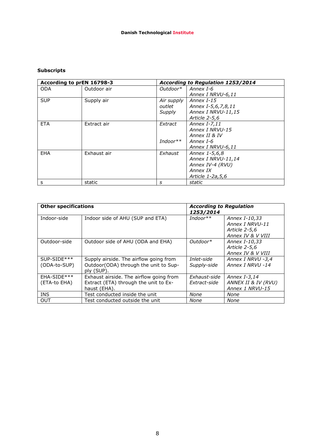### **Subscripts**

| According to prEN 16798-3 |             | According to Regulation 1253/2014 |                    |  |
|---------------------------|-------------|-----------------------------------|--------------------|--|
| <b>ODA</b>                | Outdoor air | Outdoor*                          | Annex I-6          |  |
|                           |             |                                   | Annex I NRVU-6,11  |  |
| <b>SUP</b>                | Supply air  | Air supply                        | Annex I-15         |  |
|                           |             | outlet                            | Annex I-5,6,7,8,11 |  |
|                           |             | Supply                            | Annex I NRVU-11,15 |  |
|                           |             |                                   | Article 2-5.6      |  |
| <b>ETA</b>                | Extract air | Extract                           | Annex I-7,11       |  |
|                           |             |                                   | Annex I NRVU-15    |  |
|                           |             |                                   | Annex II & IV      |  |
|                           |             | Indoor**                          | Annex I-6          |  |
|                           |             |                                   | Annex I NRVU-6,11  |  |
| <b>EHA</b>                | Exhaust air | Exhaust                           | Annex 1-5,6,8      |  |
|                           |             |                                   | Annex I NRVU-11,14 |  |
|                           |             |                                   | Annex IV-4 (RVU)   |  |
|                           |             |                                   | Annex IX           |  |
|                           |             |                                   | Article 1-2a, 5, 6 |  |
| s                         | static      | s                                 | static             |  |

| <b>Other specifications</b>   |                                                                                                  | <b>According to Regulation</b><br>1253/2014 |                                                                        |
|-------------------------------|--------------------------------------------------------------------------------------------------|---------------------------------------------|------------------------------------------------------------------------|
| Indoor-side                   | Indoor side of AHU (SUP and ETA)                                                                 | $Indoor**$                                  | Annex I-10,33<br>Annex I NRVU-11<br>Article 2-5,6<br>Annex IV & V VIII |
| Outdoor-side                  | Outdoor side of AHU (ODA and EHA)                                                                | $Outdoor^*$                                 | Annex I-10,33<br>Article 2-5,6<br>Annex IV & V VIII                    |
| $SUP-SIDE***$<br>(ODA-to-SUP) | Supply airside. The airflow going from<br>Outdoor(ODA) through the unit to Sup-<br>ply (SUP).    | Inlet-side<br>Supply-side                   | Annex I NRVU -3,4<br>Annex I NRVU -14                                  |
| EHA-SIDE***<br>(ETA-to EHA)   | Exhaust airside. The airflow going from<br>Extract (ETA) through the unit to Ex-<br>haust (EHA). | Exhaust-side<br>Extract-side                | Annex I-3,14<br>ANNEX II & IV (RVU)<br>Annex 1 NRVU-15                 |
| <b>INS</b>                    | Test conducted inside the unit                                                                   | None                                        | None                                                                   |
| OUT                           | Test conducted outside the unit                                                                  | None                                        | None                                                                   |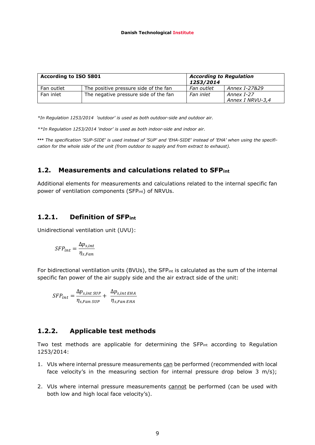| According to ISO 5801 |                                       | <b>According to Regulation</b><br>1253/2014 |                                |
|-----------------------|---------------------------------------|---------------------------------------------|--------------------------------|
| Fan outlet            | The positive pressure side of the fan | Fan outlet                                  | Annex I-27&29                  |
| Fan inlet             | The negative pressure side of the fan | Fan inlet                                   | Annex I-27<br>Annex I NRVU-3,4 |

*\*In Regulation 1253/2014 'outdoor' is used as both outdoor-side and outdoor air.*

*\*\*In Regulation 1253/2014 'indoor' is used as both indoor-side and indoor air.*

**\*\*\*** *The specification 'SUP-SIDE' is used instead of 'SUP' and 'EHA-SIDE' instead of 'EHA' when using the specification for the whole side of the unit (from outdoor to supply and from extract to exhaust).*

### <span id="page-8-0"></span>**1.2. Measurements and calculations related to SFPint**

Additional elements for measurements and calculations related to the internal specific fan power of ventilation components (SFP<sub>int</sub>) of NRVUs.

### <span id="page-8-1"></span>**1.2.1. Definition of SFPint**

Unidirectional ventilation unit (UVU):

$$
SFP_{int} = \frac{\Delta p_{s,int}}{\eta_{s,Fan}}
$$

For bidirectional ventilation units (BVUs), the SFP<sub>int</sub> is calculated as the sum of the internal specific fan power of the air supply side and the air extract side of the unit:

$$
SFP_{int} = \frac{\Delta p_{s,int\,SUP}}{\eta_{s,Fan\, SUP}} + \frac{\Delta p_{s,int\, EHA}}{\eta_{s,Fan\, EHA}}
$$

### <span id="page-8-2"></span>**1.2.2. Applicable test methods**

Two test methods are applicable for determining the SFP<sub>int</sub> according to Regulation 1253/2014:

- 1. VUs where internal pressure measurements can be performed (recommended with local face velocity's in the measuring section for internal pressure drop below 3 m/s);
- 2. VUs where internal pressure measurements cannot be performed (can be used with both low and high local face velocity's).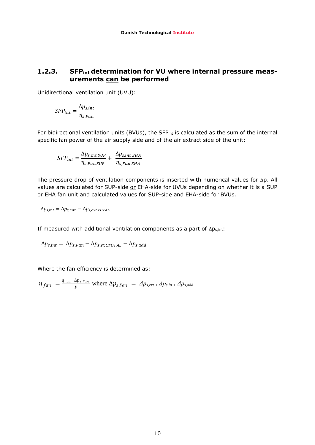## <span id="page-9-0"></span>**1.2.3. SFPint determination for VU where internal pressure measurements can be performed**

Unidirectional ventilation unit (UVU):

$$
SFP_{int} = \frac{\Delta p_{s,int}}{\eta_{s,Fan}}
$$

For bidirectional ventilation units (BVUs), the SFP<sub>int</sub> is calculated as the sum of the internal specific fan power of the air supply side and of the air extract side of the unit:

$$
SFP_{int} = \frac{\Delta p_{s,int\,Sup}}{\eta_{s,Fan\,Sup}} + \frac{\Delta p_{s,int\,EHA}}{\eta_{s,Fan\,EHA}}
$$

The pressure drop of ventilation components is inserted with numerical values for  $\Delta p$ . All values are calculated for SUP-side or EHA-side for UVUs depending on whether it is a SUP or EHA fan unit and calculated values for SUP-side and EHA-side for BVUs.

$$
\Delta p_{s,int} = \Delta p_{s,Fan} - \Delta p_{s,ext.TOTAL}
$$

If measured with additional ventilation components as a part of  $\Delta p_{s,int}$ :

$$
\Delta p_{s,int} = \Delta p_{s,Fan} - \Delta p_{s,ext.TOTAL} - \Delta p_{s,add}
$$

Where the fan efficiency is determined as:

$$
\eta_{fan} = \frac{q_{nom} \cdot \Delta p_{s, Fan}}{P} \text{ where } \Delta p_{s, Fan} = \Delta p_{s, ext} + \Delta p_{s, in} + \Delta p_{s, add}
$$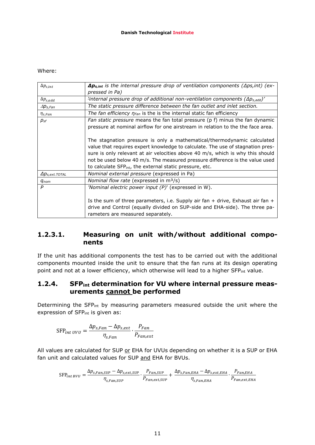#### Where:

| $\Delta p_{s,int}$       | $\Delta p_{s,int}$ is the internal pressure drop of ventilation components ( $\Delta ps, int$ ) (ex-<br>pressed in Pa)                                                                                                                                                                                                                                                                              |
|--------------------------|-----------------------------------------------------------------------------------------------------------------------------------------------------------------------------------------------------------------------------------------------------------------------------------------------------------------------------------------------------------------------------------------------------|
| $\Delta p_{s, add}$      | $\frac{1}{2}$ internal pressure drop of additional non-ventilation components ( $\Delta p_{s,add}$ )'                                                                                                                                                                                                                                                                                               |
| $\Delta p_{s,Fan}$       | The static pressure difference between the fan outlet and inlet section.                                                                                                                                                                                                                                                                                                                            |
| $\eta_{s,Fan}$           | The fan efficiency $\eta_{Fan}$ is the is the internal static fan efficiency                                                                                                                                                                                                                                                                                                                        |
| $p_{\textit{sf}}$        | Fan static pressure means the fan total pressure (p f) minus the fan dynamic<br>pressure at nominal airflow for one airstream in relation to the the face area.                                                                                                                                                                                                                                     |
|                          | The stagnation pressure is only a mathematical/thermodynamic calculated<br>value that requires expert knowledge to calculate. The use of stagnation pres-<br>sure is only relevant at air velocities above 40 m/s, which is why this should<br>not be used below 40 m/s. The measured pressure difference is the value used<br>to calculate SFP <sub>int</sub> , the external static pressure, etc. |
| $\Delta p_{s,ext.$ TOTAL | Nominal external pressure (expressed in Pa)                                                                                                                                                                                                                                                                                                                                                         |
| $q_{nom}$                | Nominal flow rate (expressed in $m^3/s$ )                                                                                                                                                                                                                                                                                                                                                           |
| P                        | 'Nominal electric power input (P)' (expressed in W).                                                                                                                                                                                                                                                                                                                                                |
|                          | Is the sum of three parameters, i.e. Supply air fan + drive, Exhaust air fan +                                                                                                                                                                                                                                                                                                                      |
|                          | drive and Control (equally divided on SUP-side and EHA-side). The three pa-<br>rameters are measured separately.                                                                                                                                                                                                                                                                                    |

## <span id="page-10-0"></span>**1.2.3.1. Measuring on unit with/without additional components**

If the unit has additional components the test has to be carried out with the additional components mounted inside the unit to ensure that the fan runs at its design operating point and not at a lower efficiency, which otherwise will lead to a higher SFP<sub>int</sub> value.

## <span id="page-10-1"></span>**1.2.4. SFPint determination for VU where internal pressure measurements cannot be performed**

Determining the SFP<sub>int</sub> by measuring parameters measured outside the unit where the expression of SFPint is given as:

$$
SFP_{int\ UVU} = \frac{\Delta p_{s,Fan} - \Delta p_{s,ext}}{\eta_{s,Fan}} \cdot \frac{P_{Fan}}{P_{Fan,ext}}
$$

All values are calculated for SUP or EHA for UVUs depending on whether it is a SUP or EHA fan unit and calculated values for SUP and EHA for BVUs.

 $SFP_{int,BVU} = \frac{\Delta_i}{\Delta}$  $\frac{q_{SUP} - \Delta p_{S,ext,SUP}}{n_{S,En} \sin p} \cdot \frac{P_{S}}{P_{FQ}}$  $\frac{P_{Fan,SUP}}{P_{Fan.ext.SUP}} + \frac{\Delta}{\sqrt{N}}$  $\frac{EHA - \Delta p_{s,ext,EHA}}{P_{s,EnEHA}} \cdot \frac{P_{i}}{P_{Fa}}$  $\boldsymbol{P}$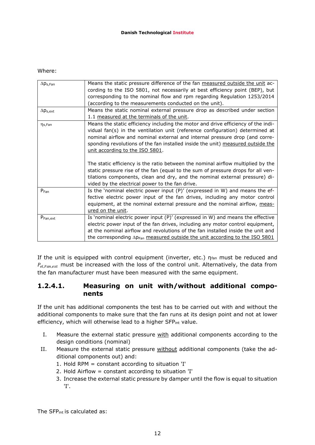#### Where:

| $\Delta p_{s, Fan}$  | Means the static pressure difference of the fan measured outside the unit ac-     |  |
|----------------------|-----------------------------------------------------------------------------------|--|
|                      | cording to the ISO 5801, not necessarily at best efficiency point (BEP), but      |  |
|                      | corresponding to the nominal flow and rpm regarding Regulation 1253/2014          |  |
|                      | (according to the measurements conducted on the unit).                            |  |
| $\Delta p_{s,ext}$   | Means the static nominal external pressure drop as described under section        |  |
|                      | 1.1 measured at the terminals of the unit.                                        |  |
| η <sub>s</sub> ,Fan  | Means the static efficiency including the motor and drive efficiency of the indi- |  |
|                      | vidual fan(s) in the ventilation unit (reference configuration) determined at     |  |
|                      | nominal airflow and nominal external and internal pressure drop (and corre-       |  |
|                      | sponding revolutions of the fan installed inside the unit) measured outside the   |  |
|                      | unit according to the ISO 5801.                                                   |  |
|                      |                                                                                   |  |
|                      | The static efficiency is the ratio between the nominal airflow multiplied by the  |  |
|                      | static pressure rise of the fan (equal to the sum of pressure drops for all ven-  |  |
|                      | tilations components, clean and dry, and the nominal external pressure) di-       |  |
|                      | vided by the electrical power to the fan drive.                                   |  |
| P <sub>Fan</sub>     | Is the 'nominal electric power input $(P)'$ (expressed in W) and means the ef-    |  |
|                      | fective electric power input of the fan drives, including any motor control       |  |
|                      | equipment, at the nominal external pressure and the nominal airflow, meas-        |  |
|                      | ured on the unit.                                                                 |  |
| P <sub>Fan,ext</sub> | Is 'nominal electric power input (P)' (expressed in W) and means the effective    |  |
|                      | electric power input of the fan drives, including any motor control equipment,    |  |
|                      | at the nominal airflow and revolutions of the fan installed inside the unit and   |  |
|                      | the corresponding Apran measured outside the unit according to the ISO 5801       |  |

If the unit is equipped with control equipment (inverter, etc.)  $\eta_{fan}$  must be reduced and  $P_{el Farnext}$  must be increased with the loss of the control unit. Alternatively, the data from the fan manufacturer must have been measured with the same equipment.

## <span id="page-11-0"></span>**1.2.4.1. Measuring on unit with/without additional components**

If the unit has additional components the test has to be carried out with and without the additional components to make sure that the fan runs at its design point and not at lower efficiency, which will otherwise lead to a higher SFPint value.

- I. Measure the external static pressure with additional components according to the design conditions (nominal)
- II. Measure the external static pressure without additional components (take the additional components out) and:
	- 1. Hold RPM = constant according to situation 'I'
	- 2. Hold Airflow = constant according to situation 'I'
	- 3. Increase the external static pressure by damper until the flow is equal to situation 'I'.

The SFPint is calculated as: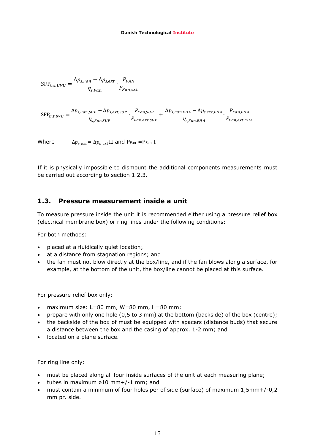$$
SFP_{int\ UVU} = \frac{\Delta p_{s,Fan} - \Delta p_{s,ext}}{\eta_{s,Fan}} \cdot \frac{P_{FAN}}{P_{Fan,ext}}
$$

$$
\text{SFP}_{int\,BVU} = \frac{\Delta p_{s,Fan,SUP} - \Delta p_{s,ext,SUP}}{\eta_{s,Fan,SUP}} \cdot \frac{P_{Fan,SUP}}{P_{Fan,ext,SUP}} + \frac{\Delta p_{s,Fan,EHA} - \Delta p_{s,ext,EHA}}{\eta_{s,Fan,EHA}} \cdot \frac{P_{Fan,EHA}}{P_{Fan,ext,EHA}}
$$

Where  $\Delta p_{s,ext} = \Delta p_{s,ext}$ II and P<sub>Fan</sub> =P<sub>Fan</sub> I

If it is physically impossible to dismount the additional components measurements must be carried out according to section 1.2.3.

## <span id="page-12-0"></span>**1.3. Pressure measurement inside a unit**

To measure pressure inside the unit it is recommended either using a pressure relief box (electrical membrane box) or ring lines under the following conditions:

For both methods:

- placed at a fluidically quiet location;
- at a distance from stagnation regions; and
- the fan must not blow directly at the box/line, and if the fan blows along a surface, for example, at the bottom of the unit, the box/line cannot be placed at this surface.

For pressure relief box only:

- $\bullet$  maximum size: L=80 mm, W=80 mm, H=80 mm;
- prepare with only one hole (0,5 to 3 mm) at the bottom (backside) of the box (centre);
- the backside of the box of must be equipped with spacers (distance buds) that secure a distance between the box and the casing of approx. 1-2 mm; and
- located on a plane surface.

For ring line only:

- must be placed along all four inside surfaces of the unit at each measuring plane;
- $\bullet$  tubes in maximum ø10 mm+/-1 mm; and
- must contain a minimum of four holes per of side (surface) of maximum 1,5mm+/-0,2 mm pr. side.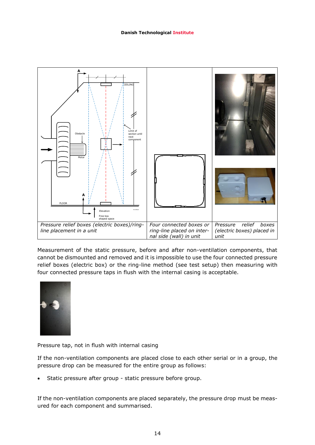

Measurement of the static pressure, before and after non-ventilation components, that cannot be dismounted and removed and it is impossible to use the four connected pressure relief boxes (electric box) or the ring-line method (see test setup) then measuring with four connected pressure taps in flush with the internal casing is acceptable.



Pressure tap, not in flush with internal casing

If the non-ventilation components are placed close to each other serial or in a group, the pressure drop can be measured for the entire group as follows:

Static pressure after group - static pressure before group.

If the non-ventilation components are placed separately, the pressure drop must be measured for each component and summarised.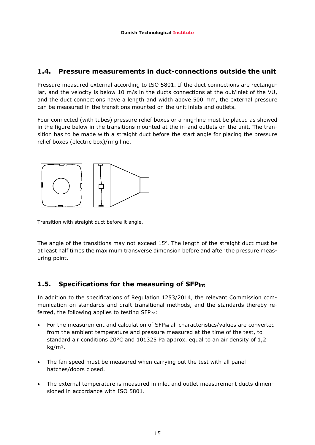## <span id="page-14-0"></span>**1.4. Pressure measurements in duct-connections outside the unit**

Pressure measured external according to ISO 5801. If the duct connections are rectangular, and the velocity is below 10 m/s in the ducts connections at the out/inlet of the VU, and the duct connections have a length and width above 500 mm, the external pressure can be measured in the transitions mounted on the unit inlets and outlets.

Four connected (with tubes) pressure relief boxes or a ring-line must be placed as showed in the figure below in the transitions mounted at the in-and outlets on the unit. The transition has to be made with a straight duct before the start angle for placing the pressure relief boxes (electric box)/ring line.



Transition with straight duct before it angle.

The angle of the transitions may not exceed  $15^{\circ}$ . The length of the straight duct must be at least half times the maximum transverse dimension before and after the pressure measuring point.

## <span id="page-14-1"></span>**1.5. Specifications for the measuring of SFPint**

In addition to the specifications of Regulation 1253/2014, the relevant Commission communication on standards and draft transitional methods, and the standards thereby referred, the following applies to testing SFP<sub>int</sub>:

- For the measurement and calculation of SFPint all characteristics/values are converted from the ambient temperature and pressure measured at the time of the test, to standard air conditions 20°C and 101325 Pa approx. equal to an air density of 1,2  $kg/m<sup>3</sup>$ .
- The fan speed must be measured when carrying out the test with all panel hatches/doors closed.
- The external temperature is measured in inlet and outlet measurement ducts dimensioned in accordance with ISO 5801.